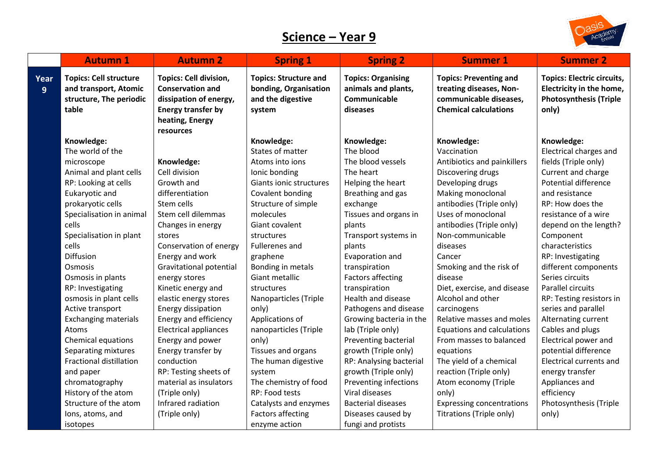## **Science – Year 9**



|           | <b>Autumn 1</b>                                                                            | <b>Autumn 2</b>                                                                                                                                 | <b>Spring 1</b>                                                                      | <b>Spring 2</b>                                                              | <b>Summer 1</b>                                                                                                    | <b>Summer 2</b>                                                                                         |
|-----------|--------------------------------------------------------------------------------------------|-------------------------------------------------------------------------------------------------------------------------------------------------|--------------------------------------------------------------------------------------|------------------------------------------------------------------------------|--------------------------------------------------------------------------------------------------------------------|---------------------------------------------------------------------------------------------------------|
| Year<br>9 | <b>Topics: Cell structure</b><br>and transport, Atomic<br>structure, The periodic<br>table | <b>Topics: Cell division,</b><br><b>Conservation and</b><br>dissipation of energy,<br><b>Energy transfer by</b><br>heating, Energy<br>resources | <b>Topics: Structure and</b><br>bonding, Organisation<br>and the digestive<br>system | <b>Topics: Organising</b><br>animals and plants,<br>Communicable<br>diseases | <b>Topics: Preventing and</b><br>treating diseases, Non-<br>communicable diseases,<br><b>Chemical calculations</b> | <b>Topics: Electric circuits,</b><br>Electricity in the home,<br><b>Photosynthesis (Triple</b><br>only) |
|           | Knowledge:                                                                                 |                                                                                                                                                 | Knowledge:                                                                           | Knowledge:                                                                   | Knowledge:                                                                                                         | Knowledge:                                                                                              |
|           | The world of the                                                                           |                                                                                                                                                 | States of matter                                                                     | The blood                                                                    | Vaccination                                                                                                        | Electrical charges and                                                                                  |
|           | microscope                                                                                 | Knowledge:                                                                                                                                      | Atoms into ions                                                                      | The blood vessels                                                            | Antibiotics and painkillers                                                                                        | fields (Triple only)                                                                                    |
|           | Animal and plant cells                                                                     | Cell division                                                                                                                                   | Ionic bonding                                                                        | The heart                                                                    | Discovering drugs                                                                                                  | Current and charge                                                                                      |
|           | RP: Looking at cells                                                                       | Growth and                                                                                                                                      | Giants ionic structures                                                              | Helping the heart                                                            | Developing drugs                                                                                                   | <b>Potential difference</b>                                                                             |
|           | Eukaryotic and                                                                             | differentiation                                                                                                                                 | Covalent bonding                                                                     | Breathing and gas                                                            | Making monoclonal                                                                                                  | and resistance                                                                                          |
|           | prokaryotic cells                                                                          | Stem cells                                                                                                                                      | Structure of simple                                                                  | exchange                                                                     | antibodies (Triple only)                                                                                           | RP: How does the                                                                                        |
|           | Specialisation in animal                                                                   | Stem cell dilemmas                                                                                                                              | molecules                                                                            | Tissues and organs in                                                        | Uses of monoclonal                                                                                                 | resistance of a wire                                                                                    |
|           | cells                                                                                      | Changes in energy                                                                                                                               | Giant covalent                                                                       | plants                                                                       | antibodies (Triple only)                                                                                           | depend on the length?                                                                                   |
|           | Specialisation in plant                                                                    | stores                                                                                                                                          | structures                                                                           | Transport systems in                                                         | Non-communicable                                                                                                   | Component                                                                                               |
|           | cells                                                                                      | Conservation of energy                                                                                                                          | <b>Fullerenes</b> and                                                                | plants                                                                       | diseases                                                                                                           | characteristics                                                                                         |
|           | Diffusion                                                                                  | Energy and work                                                                                                                                 | graphene                                                                             | Evaporation and                                                              | Cancer                                                                                                             | RP: Investigating                                                                                       |
|           | Osmosis                                                                                    | Gravitational potential                                                                                                                         | Bonding in metals                                                                    | transpiration                                                                | Smoking and the risk of                                                                                            | different components                                                                                    |
|           | Osmosis in plants                                                                          | energy stores                                                                                                                                   | Giant metallic                                                                       | <b>Factors affecting</b>                                                     | disease                                                                                                            | Series circuits                                                                                         |
|           | RP: Investigating                                                                          | Kinetic energy and                                                                                                                              | structures                                                                           | transpiration                                                                | Diet, exercise, and disease                                                                                        | <b>Parallel circuits</b>                                                                                |
|           | osmosis in plant cells                                                                     | elastic energy stores                                                                                                                           | Nanoparticles (Triple                                                                | Health and disease                                                           | Alcohol and other                                                                                                  | RP: Testing resistors in                                                                                |
|           | Active transport                                                                           | Energy dissipation                                                                                                                              | only)                                                                                | Pathogens and disease                                                        | carcinogens                                                                                                        | series and parallel                                                                                     |
|           | <b>Exchanging materials</b>                                                                | Energy and efficiency                                                                                                                           | Applications of                                                                      | Growing bacteria in the                                                      | Relative masses and moles                                                                                          | Alternating current                                                                                     |
|           | Atoms                                                                                      | <b>Electrical appliances</b>                                                                                                                    | nanoparticles (Triple                                                                | lab (Triple only)                                                            | Equations and calculations                                                                                         | Cables and plugs                                                                                        |
|           | Chemical equations                                                                         | Energy and power                                                                                                                                | only)                                                                                | Preventing bacterial                                                         | From masses to balanced                                                                                            | Electrical power and                                                                                    |
|           | Separating mixtures                                                                        | Energy transfer by                                                                                                                              | Tissues and organs                                                                   | growth (Triple only)                                                         | equations                                                                                                          | potential difference                                                                                    |
|           | Fractional distillation                                                                    | conduction                                                                                                                                      | The human digestive                                                                  | RP: Analysing bacterial                                                      | The yield of a chemical                                                                                            | Electrical currents and                                                                                 |
|           | and paper                                                                                  | RP: Testing sheets of                                                                                                                           | system                                                                               | growth (Triple only)                                                         | reaction (Triple only)                                                                                             | energy transfer                                                                                         |
|           | chromatography                                                                             | material as insulators                                                                                                                          | The chemistry of food                                                                | Preventing infections                                                        | Atom economy (Triple                                                                                               | Appliances and                                                                                          |
|           | History of the atom                                                                        | (Triple only)                                                                                                                                   | RP: Food tests                                                                       | Viral diseases                                                               | only)                                                                                                              | efficiency                                                                                              |
|           | Structure of the atom                                                                      | Infrared radiation                                                                                                                              | Catalysts and enzymes                                                                | <b>Bacterial diseases</b>                                                    | <b>Expressing concentrations</b>                                                                                   | Photosynthesis (Triple                                                                                  |
|           | lons, atoms, and                                                                           | (Triple only)                                                                                                                                   | <b>Factors affecting</b>                                                             | Diseases caused by                                                           | Titrations (Triple only)                                                                                           | only)                                                                                                   |
|           | isotopes                                                                                   |                                                                                                                                                 | enzyme action                                                                        | fungi and protists                                                           |                                                                                                                    |                                                                                                         |